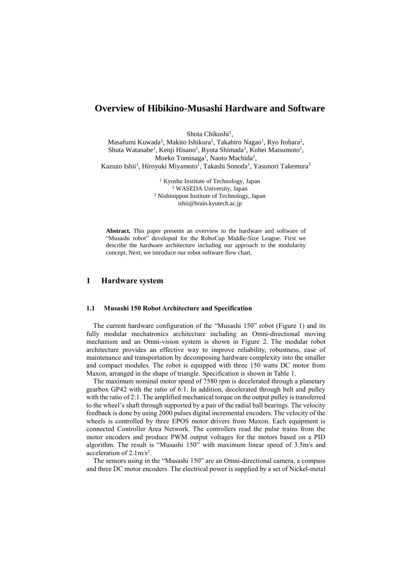# **Overview of Hibikino-Musashi Hardware and Software**

Shota Chikushi<sup>1</sup>,

Masafumi Kuwada<sup>1</sup>, Makito Ishikura<sup>1</sup>, Takahiro Nagao<sup>1</sup>, Ryo Itohara<sup>2</sup>, Shuta Watanabe<sup>1</sup>, Kenji Hisano<sup>1</sup>, Ryota Shimada<sup>1</sup>, Kohei Matsumoto<sup>1</sup>, Moeko Tominaga<sup>1</sup>, Naoto Machida<sup>1</sup>, Kazuzo Ishii<sup>1</sup>, Hiroyuki Miyamoto<sup>1</sup>, Takashi Sonoda<sup>1</sup>, Yasunori Takemura<sup>3</sup>

> Kyushu Institute of Technology, Japan WASEDA University, Japan Nishinippon Institute of Technology, Japan ishii@brain.kyutech.ac.jp

**Abstract.** This paper presents an overview to the hardware and software of "Musashi robot" developed for the RoboCup Middle-Size League. First we describe the hardware architecture including our approach to the modularity concept. Next, we introduce our robot software flow chart.

# **1 Hardware system**

### **1.1 Musashi 150 Robot Architecture and Specification**

The current hardware configuration of the "Musashi 150" robot (Figure 1) and its fully modular mechatronics architecture including an Omni-directional moving mechanism and an Omni-vision system is shown in Figure 2. The modular robot architecture provides an effective way to improve reliability, robustness, ease of maintenance and transportation by decomposing hardware complexity into the smaller and compact modules. The robot is equipped with three 150 watts DC motor from Maxon, arranged in the shape of triangle. Specification is shown in Table 1.

The maximum nominal motor speed of 7580 rpm is decelerated through a planetary gearbox GP42 with the ratio of 6:1. In addition, decelerated through belt and pulley with the ratio of 2:1. The amplified mechanical torque on the output pulley is transferred to the wheel's shaft through supported by a pair of the radial ball bearings. The velocity feedback is done by using 2000 pulses digital incremental encoders. The velocity of the wheels is controlled by three EPOS motor drivers from Maxon. Each equipment is connected Controller Area Network. The controllers read the pulse trains from the motor encoders and produce PWM output voltages for the motors based on a PID algorithm. The result is "Musashi 150" with maximum linear speed of 3.5m/s and acceleration of  $2.1 \text{m/s}^2$ .

The sensors using in the "Musashi 150" are an Omni-directional camera, a compass and three DC motor encoders. The electrical power is supplied by a set of Nickel-metal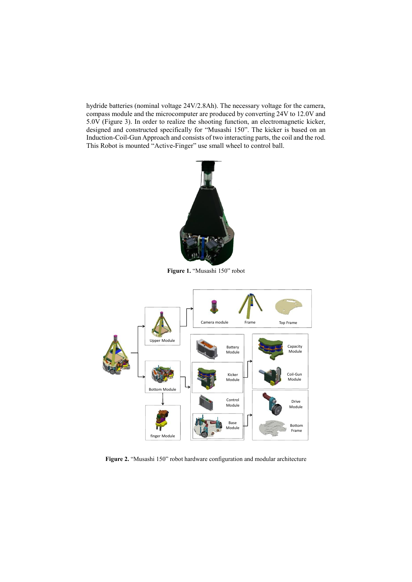hydride batteries (nominal voltage 24V/2.8Ah). The necessary voltage for the camera, compass module and the microcomputer are produced by converting 24V to 12.0V and 5.0V (Figure 3). In order to realize the shooting function, an electromagnetic kicker, designed and constructed specifically for "Musashi 150". The kicker is based on an Induction-Coil-Gun Approach and consists of two interacting parts, the coil and the rod. This Robot is mounted "Active-Finger" use small wheel to control ball.



**Figure 1.** "Musashi 150" robot



**Figure 2.** "Musashi 150" robot hardware configuration and modular architecture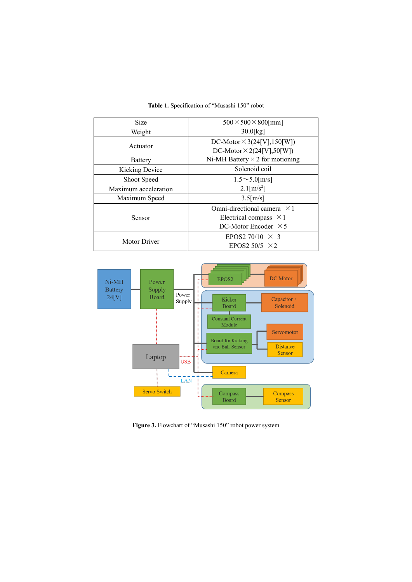| <b>Size</b>           | $500 \times 500 \times 800$ [mm]       |  |
|-----------------------|----------------------------------------|--|
| Weight                | $30.0$ [kg]                            |  |
| Actuator              | DC-Motor $\times$ 3(24[V], 150[W])     |  |
|                       | DC-Motor $\times$ 2(24[V],50[W])       |  |
| <b>Battery</b>        | Ni-MH Battery $\times$ 2 for motioning |  |
| <b>Kicking Device</b> | Solenoid coil                          |  |
| Shoot Speed           | $1.5 \sim 5.0$ [m/s]                   |  |
| Maximum acceleration  | $2.1$ [m/s <sup>2</sup> ]              |  |
| Maximum Speed         | $3.5$ [m/s]                            |  |
| Sensor                | Omni-directional camera $\times$ 1     |  |
|                       | Electrical compass $\times$ 1          |  |
|                       | DC-Motor Encoder $\times$ 5            |  |
| <b>Motor Driver</b>   | EPOS2 70/10 $\times$ 3                 |  |
|                       | EPOS2 50/5 $\times$ 2                  |  |

**Table 1.** Specification of "Musashi 150" robot



**Figure 3.** Flowchart of "Musashi 150" robot power system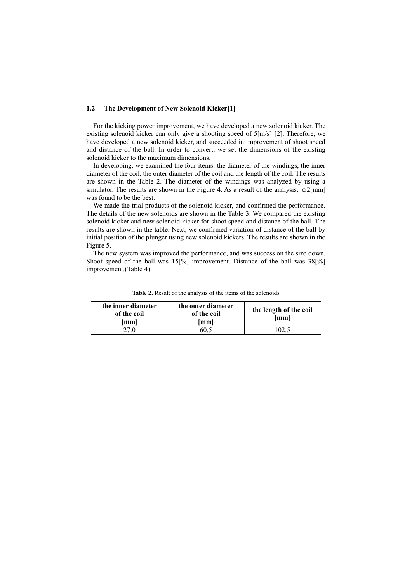### **1.2 The Development of New Solenoid Kicker[1]**

For the kicking power improvement, we have developed a new solenoid kicker. The existing solenoid kicker can only give a shooting speed of 5[m/s] [2]. Therefore, we have developed a new solenoid kicker, and succeeded in improvement of shoot speed and distance of the ball. In order to convert, we set the dimensions of the existing solenoid kicker to the maximum dimensions.

In developing, we examined the four items: the diameter of the windings, the inner diameter of the coil, the outer diameter of the coil and the length of the coil. The results are shown in the Table 2. The diameter of the windings was analyzed by using a simulator. The results are shown in the Figure 4. As a result of the analysis,  $\phi$ 2[mm] was found to be the best.

We made the trial products of the solenoid kicker, and confirmed the performance. The details of the new solenoids are shown in the Table 3. We compared the existing solenoid kicker and new solenoid kicker for shoot speed and distance of the ball. The results are shown in the table. Next, we confirmed variation of distance of the ball by initial position of the plunger using new solenoid kickers. The results are shown in the Figure 5.

The new system was improved the performance, and was success on the size down. Shoot speed of the ball was 15<sup>[%]</sup> improvement. Distance of the ball was  $38[%]$ improvement.(Table 4)

| the inner diameter<br>of the coil<br>lmml | the outer diameter<br>of the coil<br>[mm] | the length of the coil<br>$\mathbf{m}\mathbf{m}$ |
|-------------------------------------------|-------------------------------------------|--------------------------------------------------|
| 27.0                                      | 60 5                                      | 02 <sup>1</sup>                                  |

**Table 2.** Resalt of the analysis of the items of the solenoids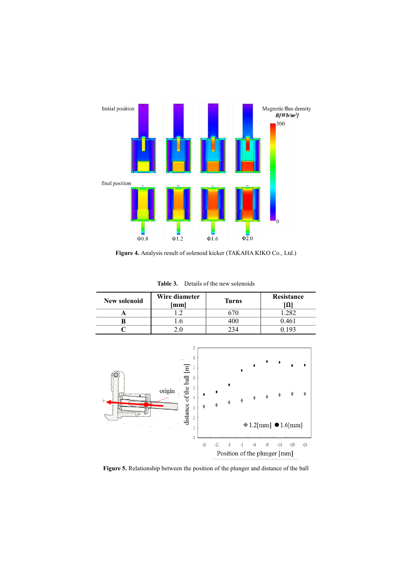

**Figure 4.** Analysis result of solenoid kicker (TAKAHA KIKO Co., Ltd.)

**Table 3.** Details of the new solenoids

| New solenoid | Wire diameter<br>mml | <b>Turns</b> | Resistance<br>IΩI |
|--------------|----------------------|--------------|-------------------|
|              |                      |              | 202               |
|              |                      |              | ) 461             |
|              |                      | 234          |                   |



**Figure 5.** Relationship between the position of the plunger and distance of the ball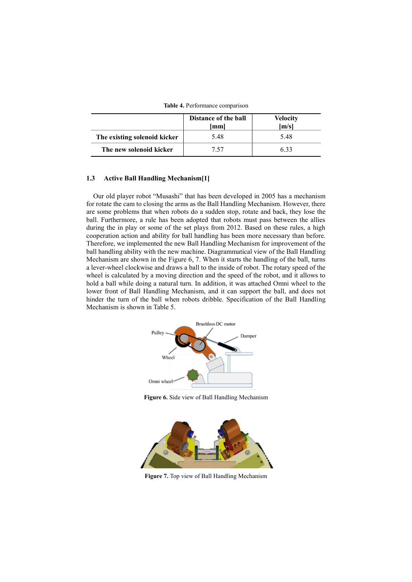**Table 4.** Performance comparison

|                              | Distance of the ball<br>mml | Velocity<br>[m/s] |
|------------------------------|-----------------------------|-------------------|
| The existing solenoid kicker | 5.48                        | 548               |
| The new solenoid kicker      | 7 57                        | 633               |

## **1.3 Active Ball Handling Mechanism[1]**

Our old player robot "Musashi" that has been developed in 2005 has a mechanism for rotate the cam to closing the arms as the Ball Handling Mechanism. However, there are some problems that when robots do a sudden stop, rotate and back, they lose the ball. Furthermore, a rule has been adopted that robots must pass between the allies during the in play or some of the set plays from 2012. Based on these rules, a high cooperation action and ability for ball handling has been more necessary than before. Therefore, we implemented the new Ball Handling Mechanism for improvement of the ball handling ability with the new machine. Diagrammatical view of the Ball Handling Mechanism are shown in the Figure 6, 7. When it starts the handling of the ball, turns a lever-wheel clockwise and draws a ball to the inside of robot. The rotary speed of the wheel is calculated by a moving direction and the speed of the robot, and it allows to hold a ball while doing a natural turn. In addition, it was attached Omni wheel to the lower front of Ball Handling Mechanism, and it can support the ball, and does not hinder the turn of the ball when robots dribble. Specification of the Ball Handling Mechanism is shown in Table 5.



**Figure 6.** Side view of Ball Handling Mechanism



**Figure 7.** Top view of Ball Handling Mechanism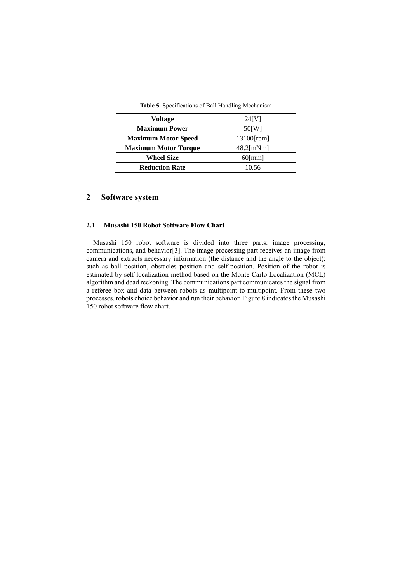| <b>Table 5.</b> Specifications of Ball Handling Mechanism |  |
|-----------------------------------------------------------|--|
|                                                           |  |

| Voltage                     | 24[V]         |
|-----------------------------|---------------|
| <b>Maximum Power</b>        | 50 [W]        |
| <b>Maximum Motor Speed</b>  | $13100$ [rpm] |
| <b>Maximum Motor Torque</b> | $48.2$ [mNm]  |
| <b>Wheel Size</b>           | $60$ [mm]     |
| <b>Reduction Rate</b>       | 10.56         |

# **2 Software system**

## **2.1 Musashi 150 Robot Software Flow Chart**

Musashi 150 robot software is divided into three parts: image processing, communications, and behavior[3]. The image processing part receives an image from camera and extracts necessary information (the distance and the angle to the object); such as ball position, obstacles position and self-position. Position of the robot is estimated by self-localization method based on the Monte Carlo Localization (MCL) algorithm and dead reckoning. The communications part communicates the signal from a referee box and data between robots as multipoint-to-multipoint. From these two processes, robots choice behavior and run their behavior. Figure 8 indicates the Musashi 150 robot software flow chart.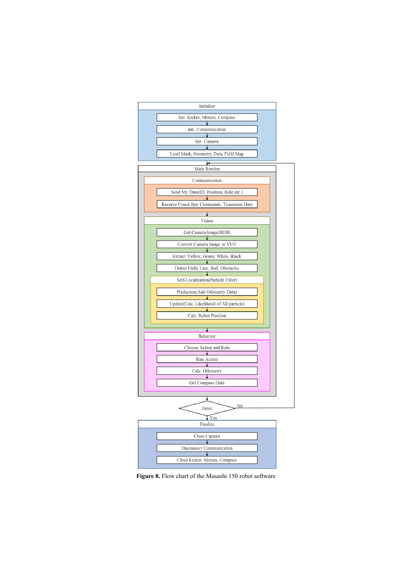

**Figure 8.** Flow chart of the Musashi 150 robot software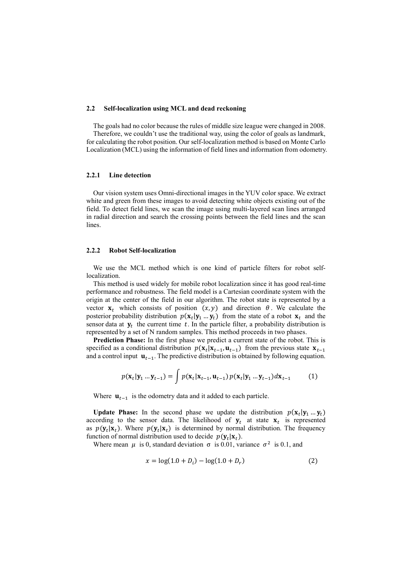### **2.2 Self-localization using MCL and dead reckoning**

The goals had no color because the rules of middle size league were changed in 2008. Therefore, we couldn't use the traditional way, using the color of goals as landmark, for calculating the robot position. Our self-localization method is based on Monte Carlo Localization (MCL) using the information of field lines and information from odometry.

## **2.2.1 Line detection**

Our vision system uses Omni-directional images in the YUV color space. We extract white and green from these images to avoid detecting white objects existing out of the field. To detect field lines, we scan the image using multi-layered scan lines arranged in radial direction and search the crossing points between the field lines and the scan lines.

### **2.2.2 Robot Self-localization**

We use the MCL method which is one kind of particle filters for robot selflocalization.

This method is used widely for mobile robot localization since it has good real-time performance and robustness. The field model is a Cartesian coordinate system with the origin at the center of the field in our algorithm. The robot state is represented by a vector  $x_t$  which consists of position  $(x, y)$  and direction  $\theta$ . We calculate the posterior probability distribution  $p(\mathbf{x}_t | \mathbf{y}_1 ... \mathbf{y}_t)$  from the state of a robot  $\mathbf{x}_t$  and the sensor data at  $y_t$  the current time t. In the particle filter, a probability distribution is represented by a set of N random samples. This method proceeds in two phases.

**Prediction Phase:** In the first phase we predict a current state of the robot. This is specified as a conditional distribution  $p(\mathbf{x}_t | \mathbf{x}_{t-1}, \mathbf{u}_{t-1})$  from the previous state  $\mathbf{x}_{t-1}$ and a control input  $\mathbf{u}_{t-1}$ . The predictive distribution is obtained by following equation.

$$
p(\mathbf{x}_t|\mathbf{y}_1...\mathbf{y}_{t-1}) = \int p(\mathbf{x}_t|\mathbf{x}_{t-1},\mathbf{u}_{t-1}) p(\mathbf{x}_t|\mathbf{y}_1...\mathbf{y}_{t-1}) d\mathbf{x}_{t-1}
$$
 (1)

Where  $\mathbf{u}_{t-1}$  is the odometry data and it added to each particle.

**Update Phase:** In the second phase we update the distribution  $p(\mathbf{x}_t | \mathbf{y}_1 ... \mathbf{y}_t)$ according to the sensor data. The likelihood of  $y_t$  at state  $x_t$  is represented as  $p(\mathbf{y}_t|\mathbf{x}_t)$ . Where  $p(\mathbf{y}_t|\mathbf{x}_t)$  is determined by normal distribution. The frequency function of normal distribution used to decide  $p(\mathbf{y}_t|\mathbf{x}_t)$ .

Where mean  $\mu$  is 0, standard deviation  $\sigma$  is 0.01, variance  $\sigma^2$  is 0.1, and

$$
x = \log(1.0 + D_i) - \log(1.0 + D_r)
$$
 (2)